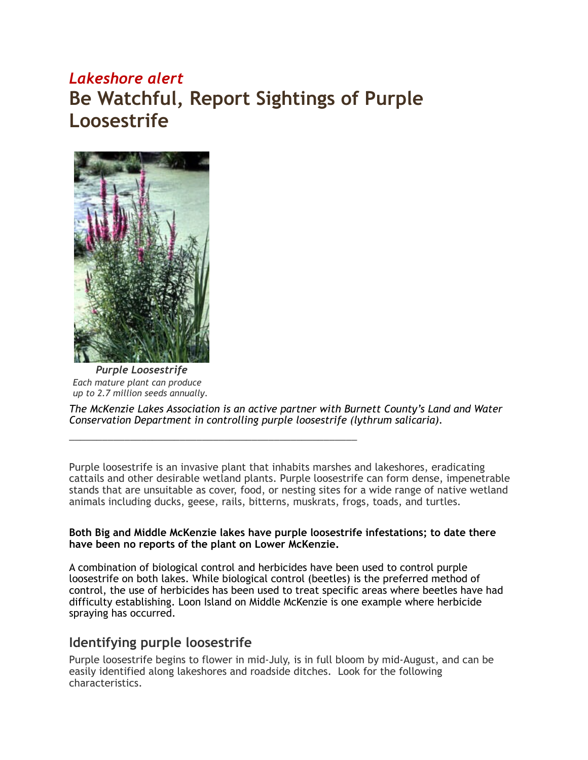## *Lakeshore alert* **Be Watchful, Report Sightings of Purple Loosestrife**



*Purple Loosestrife Each mature plant can produce up to 2.7 million seeds annually*.

*The McKenzie Lakes Association is an active partner with Burnett County's Land and Water Conservation Department in controlling purple loosestrife (lythrum salicaria).* 

\_\_\_\_\_\_\_\_\_\_\_\_\_\_\_\_\_\_\_\_\_\_\_\_\_\_\_\_\_\_\_\_\_\_\_\_\_\_\_\_\_\_\_\_\_\_\_\_\_\_\_\_

Purple loosestrife is an invasive plant that inhabits marshes and lakeshores, eradicating cattails and other desirable wetland plants. Purple loosestrife can form dense, impenetrable stands that are unsuitable as cover, food, or nesting sites for a wide range of native wetland animals including ducks, geese, rails, bitterns, muskrats, frogs, toads, and turtles.

## **Both Big and Middle McKenzie lakes have purple loosestrife infestations; to date there have been no reports of the plant on Lower McKenzie.**

A combination of biological control and herbicides have been used to control purple loosestrife on both lakes. While biological control (beetles) is the preferred method of control, the use of herbicides has been used to treat specific areas where beetles have had difficulty establishing. Loon Island on Middle McKenzie is one example where herbicide spraying has occurred.

## **Identifying purple loosestrife**

Purple loosestrife begins to flower in mid-July, is in full bloom by mid-August, and can be easily identified along lakeshores and roadside ditches. Look for the following characteristics.